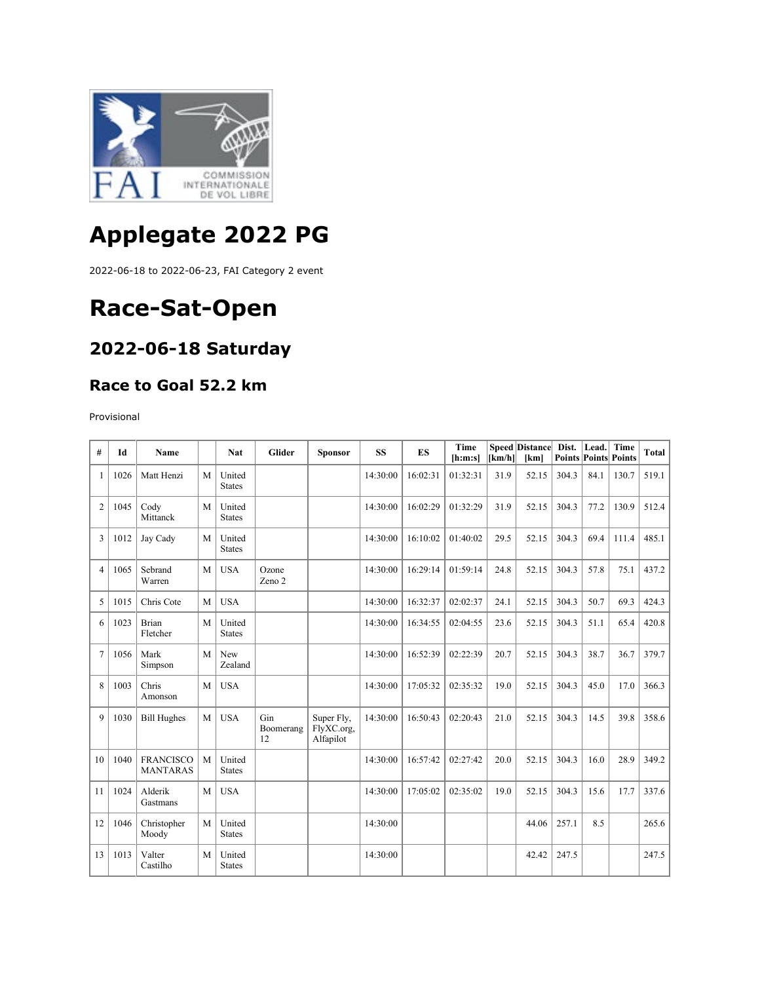

# **Applegate 2022 PG**

2022-06-18 to 2022-06-23, FAI Category 2 event

## **Race-Sat-Open**

#### **2022-06-18 Saturday**

#### **Race to Goal 52.2 km**

Provisional

| #              | Id   | Name                                |   | <b>Nat</b>              | Glider                 | <b>Sponsor</b>                        | <b>SS</b> | ES       | Time<br>[h:m:s] | $\lfloor km/h \rfloor$ | <b>Speed Distance</b><br>[km] | Dist.<br><b>Points Points Points</b> | Lead. | Time  | <b>Total</b> |
|----------------|------|-------------------------------------|---|-------------------------|------------------------|---------------------------------------|-----------|----------|-----------------|------------------------|-------------------------------|--------------------------------------|-------|-------|--------------|
| 1              | 1026 | Matt Henzi                          | M | United<br><b>States</b> |                        |                                       | 14:30:00  | 16:02:31 | 01:32:31        | 31.9                   | 52.15                         | 304.3                                | 84.1  | 130.7 | 519.1        |
| $\overline{2}$ | 1045 | Cody<br>Mittanck                    | M | United<br><b>States</b> |                        |                                       | 14:30:00  | 16:02:29 | 01:32:29        | 31.9                   | 52.15                         | 304.3                                | 77.2  | 130.9 | 512.4        |
| 3              | 1012 | Jay Cady                            | M | United<br><b>States</b> |                        |                                       | 14:30:00  | 16:10:02 | 01:40:02        | 29.5                   | 52.15                         | 304.3                                | 69.4  | 111.4 | 485.1        |
| 4              | 1065 | Sebrand<br>Warren                   | M | <b>USA</b>              | Ozone<br>Zeno 2        |                                       | 14:30:00  | 16:29:14 | 01:59:14        | 24.8                   | 52.15                         | 304.3                                | 57.8  | 75.1  | 437.2        |
| 5              | 1015 | Chris Cote                          | M | <b>USA</b>              |                        |                                       | 14:30:00  | 16:32:37 | 02:02:37        | 24.1                   | 52.15                         | 304.3                                | 50.7  | 69.3  | 424.3        |
| 6              | 1023 | Brian<br>Fletcher                   | M | United<br><b>States</b> |                        |                                       | 14:30:00  | 16:34:55 | 02:04:55        | 23.6                   | 52.15                         | 304.3                                | 51.1  | 65.4  | 420.8        |
| $\overline{7}$ | 1056 | Mark<br>Simpson                     | M | New<br>Zealand          |                        |                                       | 14:30:00  | 16:52:39 | 02:22:39        | 20.7                   | 52.15                         | 304.3                                | 38.7  | 36.7  | 379.7        |
| 8              | 1003 | Chris<br>Amonson                    | M | <b>USA</b>              |                        |                                       | 14:30:00  | 17:05:32 | 02:35:32        | 19.0                   | 52.15                         | 304.3                                | 45.0  | 17.0  | 366.3        |
| 9              | 1030 | <b>Bill Hughes</b>                  | M | <b>USA</b>              | Gin<br>Boomerang<br>12 | Super Fly,<br>FlyXC.org,<br>Alfapilot | 14:30:00  | 16:50:43 | 02:20:43        | 21.0                   | 52.15                         | 304.3                                | 14.5  | 39.8  | 358.6        |
| 10             | 1040 | <b>FRANCISCO</b><br><b>MANTARAS</b> | M | United<br><b>States</b> |                        |                                       | 14:30:00  | 16:57:42 | 02:27:42        | 20.0                   | 52.15                         | 304.3                                | 16.0  | 28.9  | 349.2        |
| 11             | 1024 | Alderik<br>Gastmans                 | M | <b>USA</b>              |                        |                                       | 14:30:00  | 17:05:02 | 02:35:02        | 19.0                   | 52.15                         | 304.3                                | 15.6  | 17.7  | 337.6        |
| 12             | 1046 | Christopher<br>Moody                | M | United<br><b>States</b> |                        |                                       | 14:30:00  |          |                 |                        | 44.06                         | 257.1                                | 8.5   |       | 265.6        |
| 13             | 1013 | Valter<br>Castilho                  | M | United<br><b>States</b> |                        |                                       | 14:30:00  |          |                 |                        | 42.42                         | 247.5                                |       |       | 247.5        |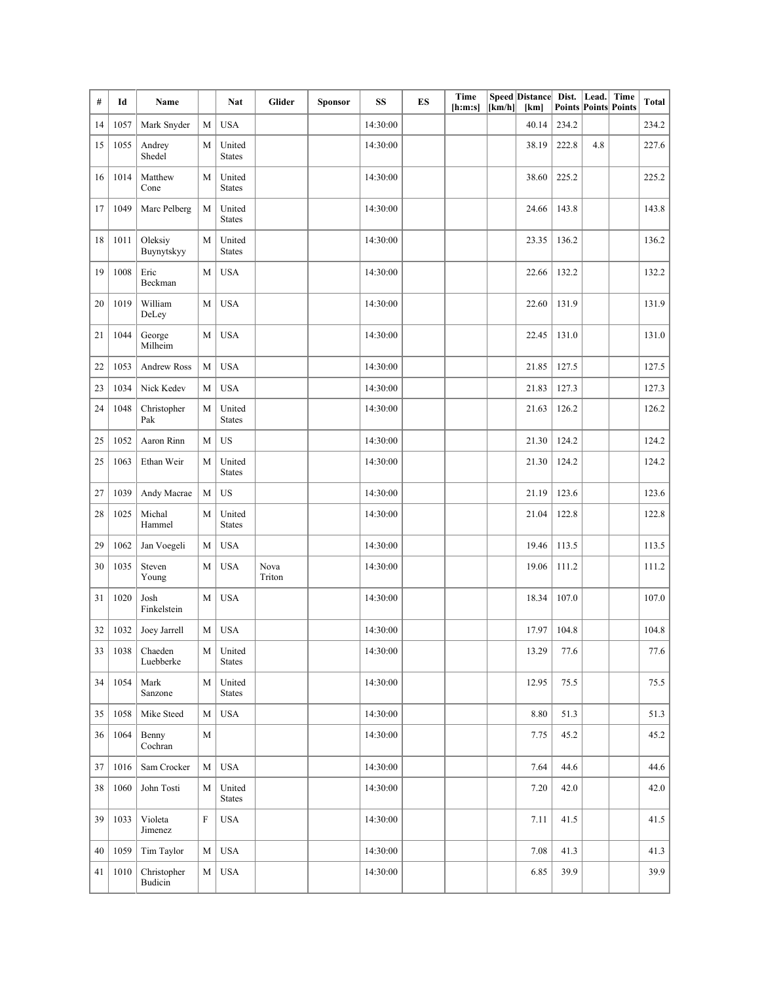| #  | Id   | Name                   |           | Nat                     | <b>Glider</b>  | <b>Sponsor</b> | SS       | ES | Time<br>[h:m:s] | [km/h] | Speed Distance Dist.<br>[km] | Points Points Points | Lead. Time | Total |
|----|------|------------------------|-----------|-------------------------|----------------|----------------|----------|----|-----------------|--------|------------------------------|----------------------|------------|-------|
| 14 | 1057 | Mark Snyder            | M         | <b>USA</b>              |                |                | 14:30:00 |    |                 |        | 40.14                        | 234.2                |            | 234.2 |
| 15 | 1055 | Andrey<br>Shedel       | M         | United<br><b>States</b> |                |                | 14:30:00 |    |                 |        | 38.19                        | 222.8                | 4.8        | 227.6 |
| 16 | 1014 | Matthew<br>Cone        | M         | United<br><b>States</b> |                |                | 14:30:00 |    |                 |        | 38.60                        | 225.2                |            | 225.2 |
| 17 | 1049 | Marc Pelberg           | M         | United<br><b>States</b> |                |                | 14:30:00 |    |                 |        | 24.66                        | 143.8                |            | 143.8 |
| 18 | 1011 | Oleksiy<br>Buynytskyy  | M         | United<br><b>States</b> |                |                | 14:30:00 |    |                 |        | 23.35                        | 136.2                |            | 136.2 |
| 19 | 1008 | Eric<br>Beckman        | M         | <b>USA</b>              |                |                | 14:30:00 |    |                 |        | 22.66                        | 132.2                |            | 132.2 |
| 20 | 1019 | William<br>DeLey       | M         | <b>USA</b>              |                |                | 14:30:00 |    |                 |        | 22.60                        | 131.9                |            | 131.9 |
| 21 | 1044 | George<br>Milheim      | M         | <b>USA</b>              |                |                | 14:30:00 |    |                 |        | 22.45                        | 131.0                |            | 131.0 |
| 22 | 1053 | <b>Andrew Ross</b>     | M         | <b>USA</b>              |                |                | 14:30:00 |    |                 |        | 21.85                        | 127.5                |            | 127.5 |
| 23 | 1034 | Nick Kedev             | M         | <b>USA</b>              |                |                | 14:30:00 |    |                 |        | 21.83                        | 127.3                |            | 127.3 |
| 24 | 1048 | Christopher<br>Pak     | M         | United<br><b>States</b> |                |                | 14:30:00 |    |                 |        | 21.63                        | 126.2                |            | 126.2 |
| 25 | 1052 | Aaron Rinn             | M         | <b>US</b>               |                |                | 14:30:00 |    |                 |        | 21.30                        | 124.2                |            | 124.2 |
| 25 | 1063 | Ethan Weir             | M         | United<br><b>States</b> |                |                | 14:30:00 |    |                 |        | 21.30                        | 124.2                |            | 124.2 |
| 27 | 1039 | Andy Macrae            | M         | US                      |                |                | 14:30:00 |    |                 |        | 21.19                        | 123.6                |            | 123.6 |
| 28 | 1025 | Michal<br>Hammel       | M         | United<br><b>States</b> |                |                | 14:30:00 |    |                 |        | 21.04                        | 122.8                |            | 122.8 |
| 29 | 1062 | Jan Voegeli            | M         | <b>USA</b>              |                |                | 14:30:00 |    |                 |        | 19.46                        | 113.5                |            | 113.5 |
| 30 | 1035 | Steven<br>Young        | M         | <b>USA</b>              | Nova<br>Triton |                | 14:30:00 |    |                 |        | 19.06                        | 111.2                |            | 111.2 |
| 31 | 1020 | Josh<br>Finkelstein    | M         | <b>USA</b>              |                |                | 14:30:00 |    |                 |        | 18.34                        | 107.0                |            | 107.0 |
| 32 | 1032 | Joey Jarrell           | M         | <b>USA</b>              |                |                | 14:30:00 |    |                 |        | 17.97                        | 104.8                |            | 104.8 |
| 33 | 1038 | Chaeden<br>Luebberke   | M         | United<br><b>States</b> |                |                | 14:30:00 |    |                 |        | 13.29                        | 77.6                 |            | 77.6  |
| 34 | 1054 | Mark<br>Sanzone        | M         | United<br><b>States</b> |                |                | 14:30:00 |    |                 |        | 12.95                        | 75.5                 |            | 75.5  |
| 35 | 1058 | Mike Steed             | M         | <b>USA</b>              |                |                | 14:30:00 |    |                 |        | 8.80                         | 51.3                 |            | 51.3  |
| 36 | 1064 | Benny<br>Cochran       | M         |                         |                |                | 14:30:00 |    |                 |        | 7.75                         | 45.2                 |            | 45.2  |
| 37 | 1016 | Sam Crocker            | M         | <b>USA</b>              |                |                | 14:30:00 |    |                 |        | 7.64                         | 44.6                 |            | 44.6  |
| 38 | 1060 | John Tosti             | M         | United<br><b>States</b> |                |                | 14:30:00 |    |                 |        | 7.20                         | 42.0                 |            | 42.0  |
| 39 | 1033 | Violeta<br>Jimenez     | ${\rm F}$ | <b>USA</b>              |                |                | 14:30:00 |    |                 |        | 7.11                         | 41.5                 |            | 41.5  |
| 40 | 1059 | Tim Taylor             | M         | <b>USA</b>              |                |                | 14:30:00 |    |                 |        | 7.08                         | 41.3                 |            | 41.3  |
| 41 | 1010 | Christopher<br>Budicin | M         | <b>USA</b>              |                |                | 14:30:00 |    |                 |        | 6.85                         | 39.9                 |            | 39.9  |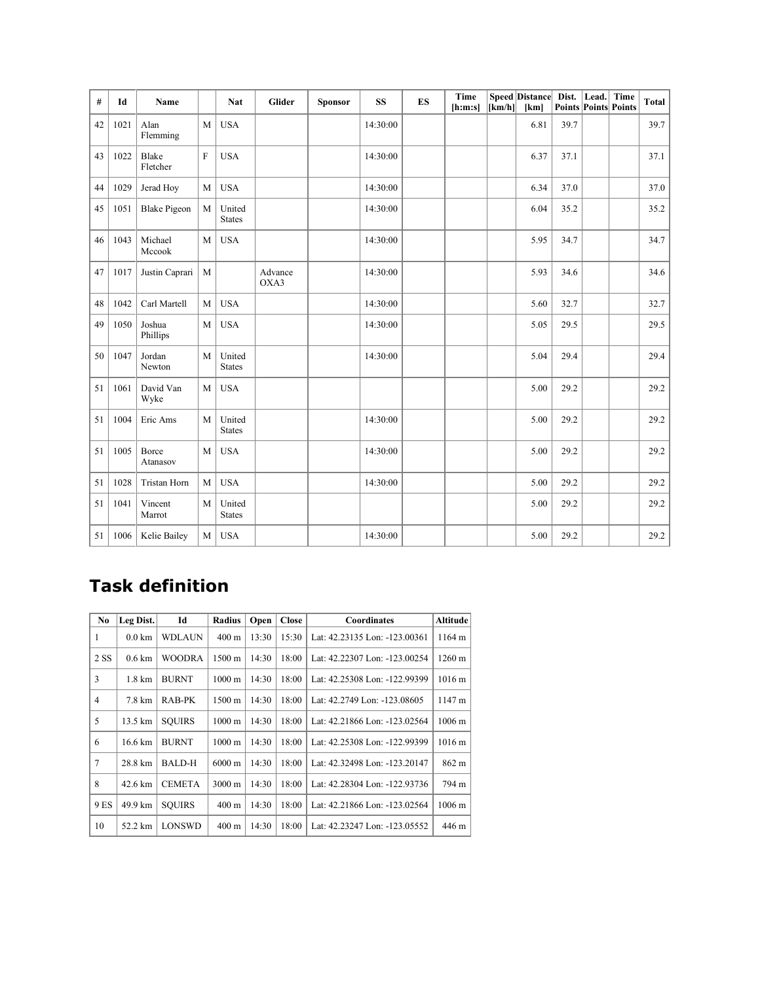| #  | Id   | Name                |             | <b>Nat</b>              | Glider          | Sponsor | <b>SS</b> | ES | Time<br>[h:m:s] | [km/h] | <b>Speed Distance</b><br>[km] | Dist.<br><b>Points Points Points</b> | Lead. | Time | <b>Total</b> |
|----|------|---------------------|-------------|-------------------------|-----------------|---------|-----------|----|-----------------|--------|-------------------------------|--------------------------------------|-------|------|--------------|
| 42 | 1021 | Alan<br>Flemming    | M           | <b>USA</b>              |                 |         | 14:30:00  |    |                 |        | 6.81                          | 39.7                                 |       |      | 39.7         |
| 43 | 1022 | Blake<br>Fletcher   | $\mathbf F$ | <b>USA</b>              |                 |         | 14:30:00  |    |                 |        | 6.37                          | 37.1                                 |       |      | 37.1         |
| 44 | 1029 | Jerad Hoy           | M           | <b>USA</b>              |                 |         | 14:30:00  |    |                 |        | 6.34                          | 37.0                                 |       |      | 37.0         |
| 45 | 1051 | <b>Blake Pigeon</b> | M           | United<br><b>States</b> |                 |         | 14:30:00  |    |                 |        | 6.04                          | 35.2                                 |       |      | 35.2         |
| 46 | 1043 | Michael<br>Mccook   | M           | <b>USA</b>              |                 |         | 14:30:00  |    |                 |        | 5.95                          | 34.7                                 |       |      | 34.7         |
| 47 | 1017 | Justin Caprari      | M           |                         | Advance<br>OXA3 |         | 14:30:00  |    |                 |        | 5.93                          | 34.6                                 |       |      | 34.6         |
| 48 | 1042 | Carl Martell        | M           | <b>USA</b>              |                 |         | 14:30:00  |    |                 |        | 5.60                          | 32.7                                 |       |      | 32.7         |
| 49 | 1050 | Joshua<br>Phillips  | M           | <b>USA</b>              |                 |         | 14:30:00  |    |                 |        | 5.05                          | 29.5                                 |       |      | 29.5         |
| 50 | 1047 | Jordan<br>Newton    | M           | United<br><b>States</b> |                 |         | 14:30:00  |    |                 |        | 5.04                          | 29.4                                 |       |      | 29.4         |
| 51 | 1061 | David Van<br>Wyke   | M           | <b>USA</b>              |                 |         |           |    |                 |        | 5.00                          | 29.2                                 |       |      | 29.2         |
| 51 | 1004 | Eric Ams            | M           | United<br><b>States</b> |                 |         | 14:30:00  |    |                 |        | 5.00                          | 29.2                                 |       |      | 29.2         |
| 51 | 1005 | Borce<br>Atanasov   | M           | <b>USA</b>              |                 |         | 14:30:00  |    |                 |        | 5.00                          | 29.2                                 |       |      | 29.2         |
| 51 | 1028 | <b>Tristan Horn</b> | M           | <b>USA</b>              |                 |         | 14:30:00  |    |                 |        | 5.00                          | 29.2                                 |       |      | 29.2         |
| 51 | 1041 | Vincent<br>Marrot   | M           | United<br><b>States</b> |                 |         |           |    |                 |        | 5.00                          | 29.2                                 |       |      | 29.2         |
| 51 | 1006 | Kelie Bailey        | M           | <b>USA</b>              |                 |         | 14:30:00  |    |                 |        | 5.00                          | 29.2                                 |       |      | 29.2         |

#### **Task definition**

| N <sub>0</sub> | Leg Dist.         | Id            | Radius              | Open  | <b>Close</b> | Coordinates                   | Altitude             |
|----------------|-------------------|---------------|---------------------|-------|--------------|-------------------------------|----------------------|
| 1              | $0.0 \mathrm{km}$ | WDLAUN        | $400 \text{ m}$     | 13:30 | 15:30        | Lat: 42.23135 Lon: -123.00361 | 1164 m               |
| 2 SS           | $0.6 \mathrm{km}$ | WOODRA        | 1500 m              | 14:30 | 18:00        | Lat: 42.22307 Lon: -123.00254 | $1260 \text{ m}$     |
| 3              | $1.8 \text{ km}$  | <b>BURNT</b>  | $1000 \text{ m}$    | 14:30 | 18:00        | Lat: 42.25308 Lon: -122.99399 | $1016 \text{ m}$     |
| 4              | 7.8 km            | RAB-PK        | $1500 \text{ m}$    | 14:30 | 18:00        | Lat: 42.2749 Lon: -123.08605  | 1147 m               |
| 5              | 13.5 km           | <b>SOUIRS</b> | 1000 <sub>m</sub>   | 14:30 | 18:00        | Lat: 42.21866 Lon: -123.02564 | $1006 \; \mathrm{m}$ |
| 6              | 16.6 km           | <b>BURNT</b>  | 1000 <sub>m</sub>   | 14:30 | 18:00        | Lat: 42.25308 Lon: -122.99399 | $1016 \text{ m}$     |
| $\tau$         | 28.8 km           | <b>BALD-H</b> | $6000 \,\mathrm{m}$ | 14:30 | 18:00        | Lat: 42.32498 Lon: -123.20147 | 862 m                |
| 8              | 42.6 km           | <b>CEMETA</b> | $3000 \text{ m}$    | 14:30 | 18:00        | Lat: 42.28304 Lon: -122.93736 | 794 m                |
| 9 ES           | 49.9 km           | SOUIRS        | $400 \text{ m}$     | 14:30 | 18:00        | Lat: 42.21866 Lon: -123.02564 | 1006 <sub>m</sub>    |
| 10             | 52.2 km           | <b>LONSWD</b> | $400 \text{ m}$     | 14:30 | 18:00        | Lat: 42.23247 Lon: -123.05552 | 446 m                |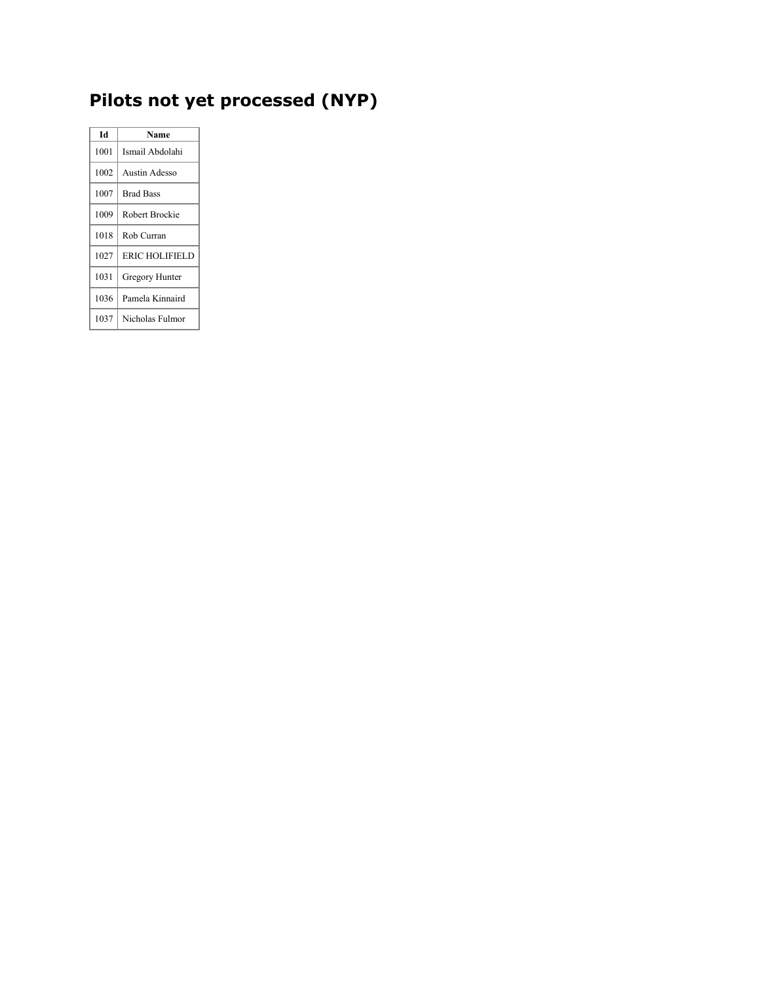## **Pilots not yet processed (NYP)**

| Id   | Name             |
|------|------------------|
| 1001 | Ismail Abdolahi  |
| 1002 | Austin Adesso    |
| 1007 | <b>Brad Bass</b> |
| 1009 | Robert Brockie   |
| 1018 | Rob Curran       |
| 1027 | ERIC HOLIFIELD   |
| 1031 | Gregory Hunter   |
| 1036 | Pamela Kinnaird  |
| 1037 | Nicholas Fulmor  |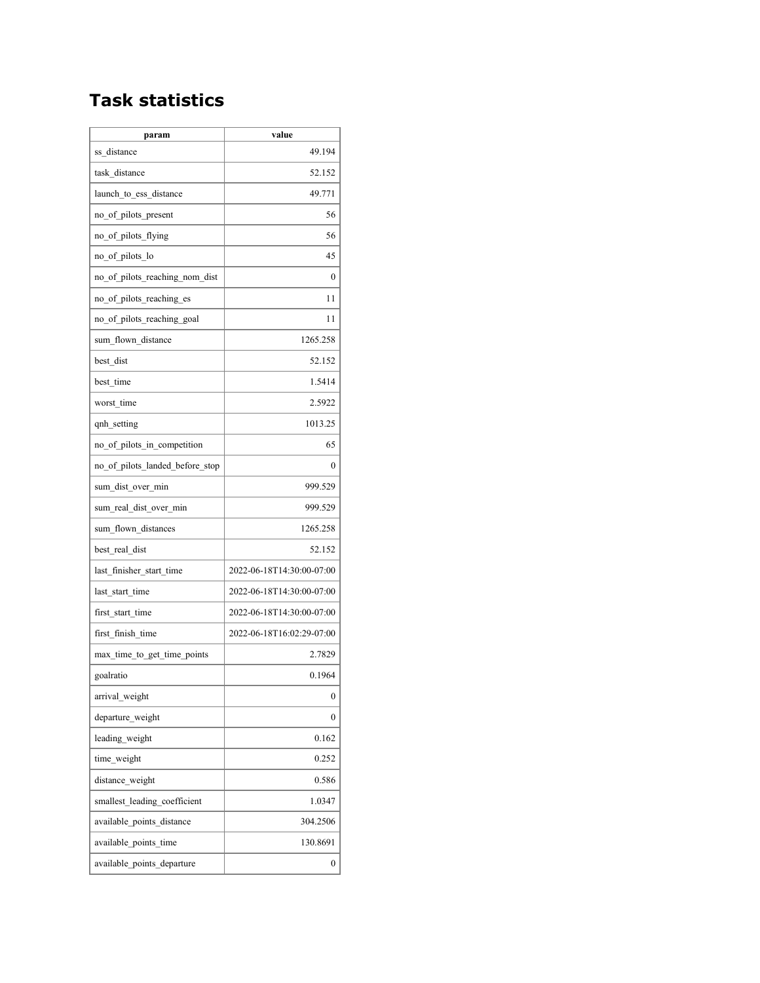#### **Task statistics**

| param                           | value                     |
|---------------------------------|---------------------------|
| ss distance                     | 49.194                    |
| task distance                   | 52.152                    |
| launch to ess distance          | 49.771                    |
| no of pilots present            | 56                        |
| no_of_pilots_flying             | 56                        |
| no of pilots lo                 | 45                        |
| no of pilots reaching nom dist  | 0                         |
| no of pilots reaching es        | 11                        |
| no of pilots reaching goal      | 11                        |
| sum flown distance              | 1265.258                  |
| best dist                       | 52.152                    |
| best time                       | 1.5414                    |
| worst time                      | 2.5922                    |
| qnh setting                     | 1013.25                   |
| no of pilots in competition     | 65                        |
| no of pilots landed before stop | 0                         |
| sum_dist_over_min               | 999.529                   |
| sum real dist over min          | 999.529                   |
| sum flown distances             | 1265.258                  |
| best real dist                  | 52.152                    |
| last finisher start time        | 2022-06-18T14:30:00-07:00 |
| last start time                 | 2022-06-18T14:30:00-07:00 |
| first start time                | 2022-06-18T14:30:00-07:00 |
| first finish time               | 2022-06-18T16:02:29-07:00 |
| max_time_to_get_time_points     | 2.7829                    |
| goalratio                       | 0.1964                    |
| arrival weight                  | 0                         |
| departure weight                | 0                         |
| leading weight                  | 0.162                     |
| time weight                     | 0.252                     |
| distance weight                 | 0.586                     |
| smallest leading coefficient    | 1.0347                    |
| available points distance       | 304.2506                  |
| available points time           | 130.8691                  |
| available points departure      | 0                         |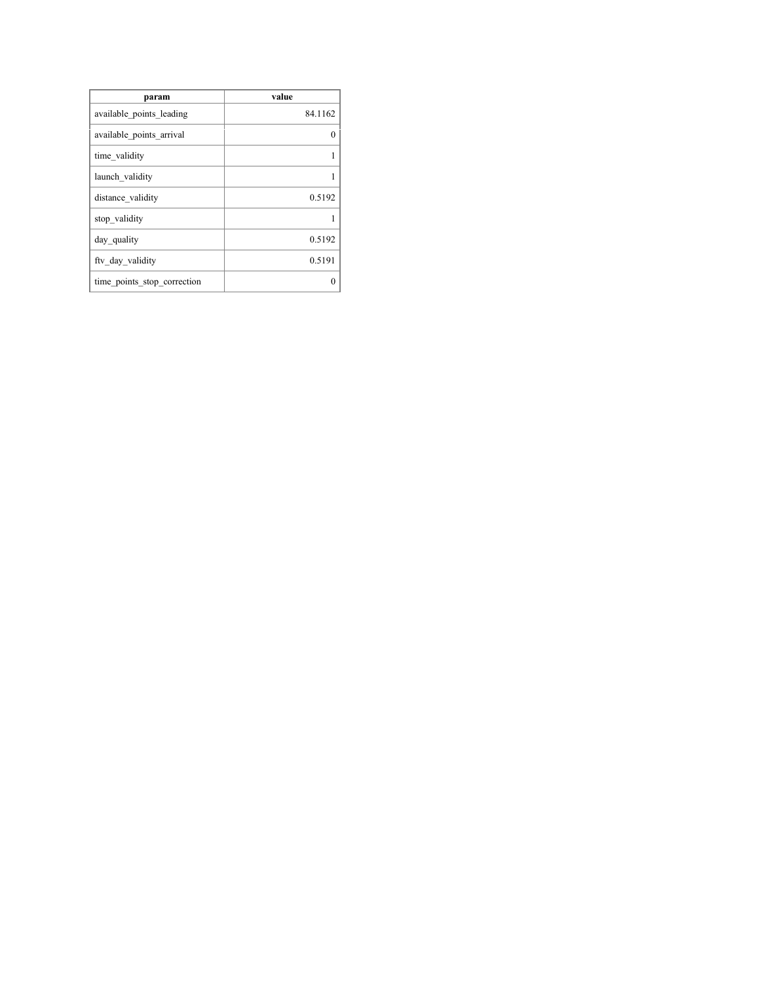| param                       | value    |
|-----------------------------|----------|
| available points leading    | 84.1162  |
| available points arrival    | $\Omega$ |
| time validity               | 1        |
| launch validity             |          |
| distance validity           | 0.5192   |
| stop validity               | 1        |
| day quality                 | 0.5192   |
| fty day validity            | 0.5191   |
| time points stop correction |          |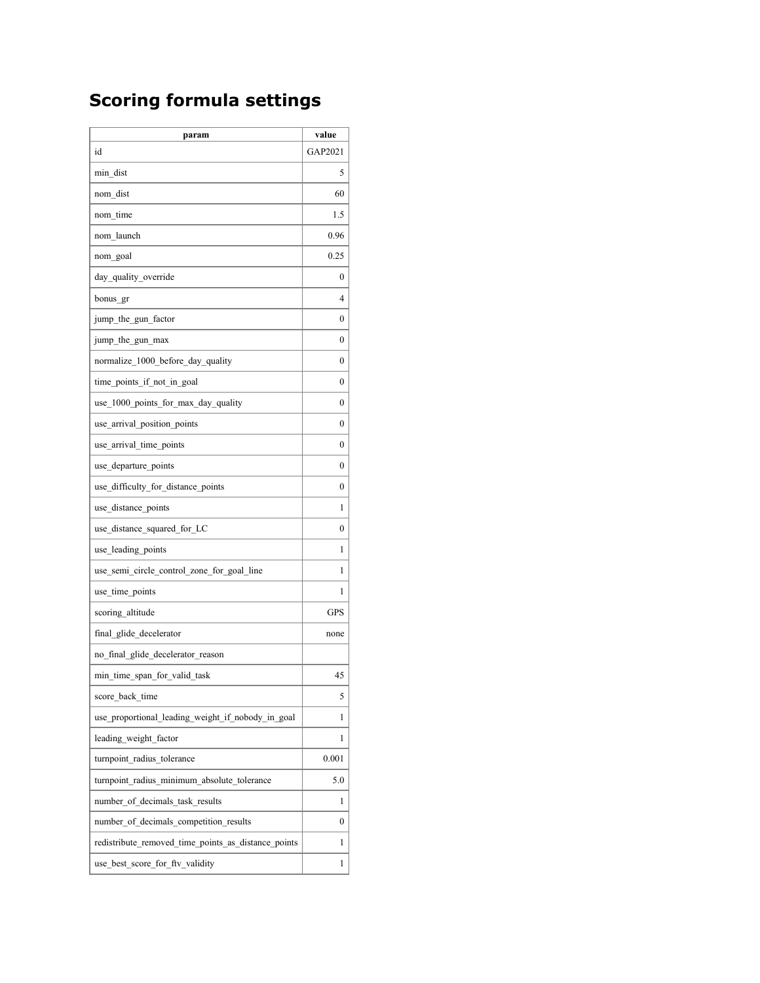### **Scoring formula settings**

| param                                               | value            |
|-----------------------------------------------------|------------------|
| id                                                  | GAP2021          |
| min dist                                            | 5                |
| nom dist                                            | 60               |
| nom time                                            | 1.5              |
| nom launch                                          | 0.96             |
| nom goal                                            | 0.25             |
| day quality override                                | 0                |
| bonus gr                                            | 4                |
| jump the gun factor                                 | $\boldsymbol{0}$ |
| jump the gun max                                    | 0                |
| normalize 1000 before day quality                   | $\theta$         |
| time points if not in goal                          | $\boldsymbol{0}$ |
| use 1000 points for max day quality                 | 0                |
| use arrival position points                         | 0                |
| use arrival time points                             | 0                |
| use_departure_points                                | $\boldsymbol{0}$ |
| use difficulty for distance points                  | $\boldsymbol{0}$ |
| use distance points                                 | 1                |
| use distance squared for LC                         | $\theta$         |
| use leading points                                  | 1                |
| use semi circle control zone for goal line          | 1                |
| use time points                                     | 1                |
| scoring altitude                                    | <b>GPS</b>       |
| final glide decelerator                             | none             |
| no final glide decelerator reason                   |                  |
| min time span for valid task                        | 45               |
| score back time                                     | 5                |
| use proportional leading weight if nobody in goal   | 1                |
| leading weight factor                               | 1                |
| turnpoint_radius_tolerance                          | 0.001            |
| turnpoint radius minimum absolute tolerance         | 5.0              |
| number of decimals task results                     | 1                |
| number of decimals competition results              | 0                |
| redistribute removed time points as distance points | 1                |
| use best score for fty validity                     | 1                |